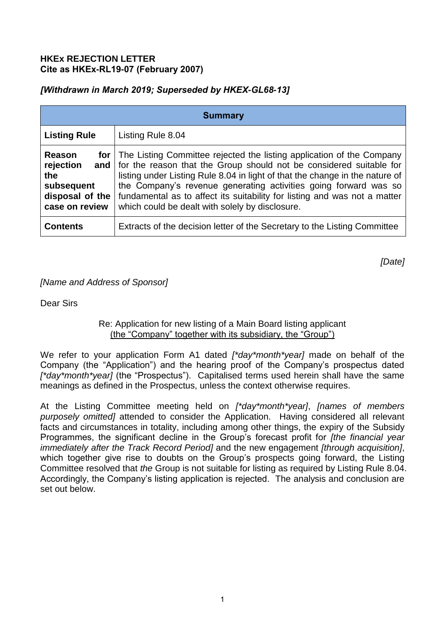### **HKEx REJECTION LETTER Cite as HKEx-RL19-07 (February 2007)**

# *[Withdrawn in March 2019; Superseded by HKEX-GL68-13]*

| <b>Summary</b>                                                                |                                                                                                                                                                                                                                                                                                                                                                                                                                                   |
|-------------------------------------------------------------------------------|---------------------------------------------------------------------------------------------------------------------------------------------------------------------------------------------------------------------------------------------------------------------------------------------------------------------------------------------------------------------------------------------------------------------------------------------------|
| <b>Listing Rule</b>                                                           | Listing Rule 8.04                                                                                                                                                                                                                                                                                                                                                                                                                                 |
| Reason<br>rejection<br>the<br>subsequent<br>disposal of the<br>case on review | <b>for</b> The Listing Committee rejected the listing application of the Company<br>and   for the reason that the Group should not be considered suitable for<br>listing under Listing Rule 8.04 in light of that the change in the nature of<br>the Company's revenue generating activities going forward was so<br>fundamental as to affect its suitability for listing and was not a matter<br>which could be dealt with solely by disclosure. |
| <b>Contents</b>                                                               | Extracts of the decision letter of the Secretary to the Listing Committee                                                                                                                                                                                                                                                                                                                                                                         |

*[Date]*

*[Name and Address of Sponsor]* 

Dear Sirs

### Re: Application for new listing of a Main Board listing applicant (the "Company" together with its subsidiary, the "Group")

We refer to your application Form A1 dated *[\*day\*month\*year]* made on behalf of the Company (the "Application") and the hearing proof of the Company's prospectus dated *[\*day\*month\*year]* (the "Prospectus"). Capitalised terms used herein shall have the same meanings as defined in the Prospectus, unless the context otherwise requires.

At the Listing Committee meeting held on *[\*day\*month\*year]*, *[names of members purposely omitted]* attended to consider the Application. Having considered all relevant facts and circumstances in totality, including among other things, the expiry of the Subsidy Programmes, the significant decline in the Group's forecast profit for *[the financial year immediately after the Track Record Period]* and the new engagement *[through acquisition]*, which together give rise to doubts on the Group's prospects going forward, the Listing Committee resolved that *the* Group is not suitable for listing as required by Listing Rule 8.04. Accordingly, the Company's listing application is rejected. The analysis and conclusion are set out below.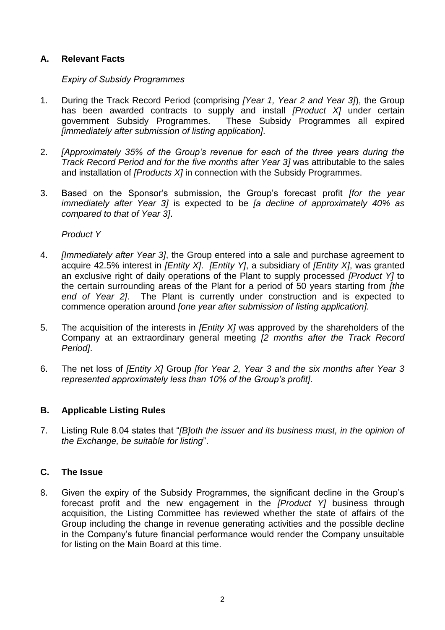# **A. Relevant Facts**

### *Expiry of Subsidy Programmes*

- 1. During the Track Record Period (comprising *[Year 1, Year 2 and Year 3]*), the Group has been awarded contracts to supply and install *[Product X]* under certain government Subsidy Programmes. These Subsidy Programmes all expired *[immediately after submission of listing application]*.
- 2. *[Approximately 35% of the Group's revenue for each of the three years during the Track Record Period and for the five months after Year 3]* was attributable to the sales and installation of *[Products X]* in connection with the Subsidy Programmes.
- 3. Based on the Sponsor's submission, the Group's forecast profit *[for the year immediately after Year 3]* is expected to be *[a decline of approximately 40% as compared to that of Year 3]*.

#### *Product Y*

- 4. *[Immediately after Year 3]*, the Group entered into a sale and purchase agreement to acquire 42.5% interest in *[Entity X]*. *[Entity Y]*, a subsidiary of *[Entity X]*, was granted an exclusive right of daily operations of the Plant to supply processed *[Product Y]* to the certain surrounding areas of the Plant for a period of 50 years starting from *[the end of Year 2]*. The Plant is currently under construction and is expected to commence operation around *[one year after submission of listing application]*.
- 5. The acquisition of the interests in *[Entity X]* was approved by the shareholders of the Company at an extraordinary general meeting *[2 months after the Track Record Period]*.
- 6. The net loss of *[Entity X]* Group *[for Year 2, Year 3 and the six months after Year 3 represented approximately less than 10% of the Group's profit]*.

# **B. Applicable Listing Rules**

7. Listing Rule 8.04 states that "*[B]oth the issuer and its business must, in the opinion of the Exchange, be suitable for listing*".

# **C. The Issue**

8. Given the expiry of the Subsidy Programmes, the significant decline in the Group's forecast profit and the new engagement in the *[Product Y]* business through acquisition, the Listing Committee has reviewed whether the state of affairs of the Group including the change in revenue generating activities and the possible decline in the Company's future financial performance would render the Company unsuitable for listing on the Main Board at this time.